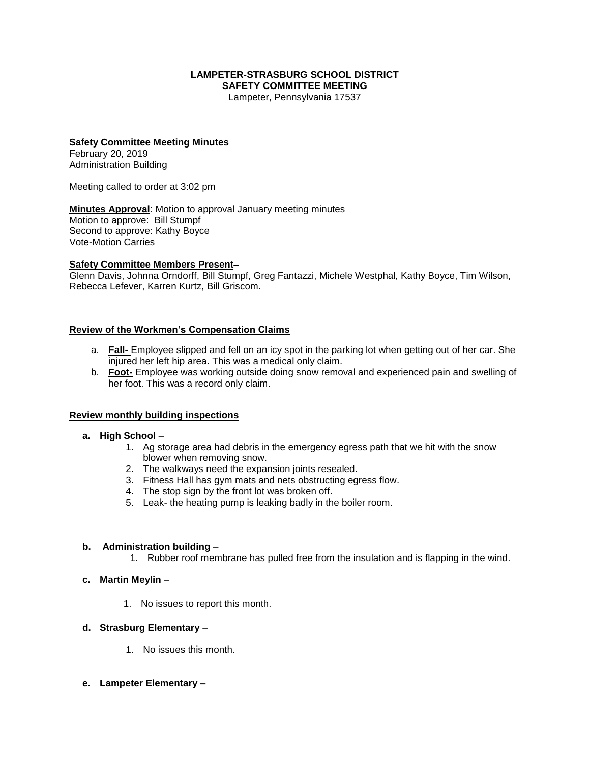#### **LAMPETER-STRASBURG SCHOOL DISTRICT SAFETY COMMITTEE MEETING**

Lampeter, Pennsylvania 17537

# **Safety Committee Meeting Minutes**

February 20, 2019 Administration Building

Meeting called to order at 3:02 pm

**Minutes Approval**: Motion to approval January meeting minutes Motion to approve: Bill Stumpf Second to approve: Kathy Boyce Vote-Motion Carries

#### **Safety Committee Members Present–**

Glenn Davis, Johnna Orndorff, Bill Stumpf, Greg Fantazzi, Michele Westphal, Kathy Boyce, Tim Wilson, Rebecca Lefever, Karren Kurtz, Bill Griscom.

#### **Review of the Workmen's Compensation Claims**

- a. **Fall-** Employee slipped and fell on an icy spot in the parking lot when getting out of her car. She injured her left hip area. This was a medical only claim.
- b. **Foot-** Employee was working outside doing snow removal and experienced pain and swelling of her foot. This was a record only claim.

#### **Review monthly building inspections**

- **a. High School**
	- 1. Ag storage area had debris in the emergency egress path that we hit with the snow blower when removing snow.
	- 2. The walkways need the expansion joints resealed.
	- 3. Fitness Hall has gym mats and nets obstructing egress flow.
	- 4. The stop sign by the front lot was broken off.
	- 5. Leak- the heating pump is leaking badly in the boiler room.

#### **b. Administration building** –

- 1. Rubber roof membrane has pulled free from the insulation and is flapping in the wind.
- **c. Martin Meylin**
	- 1. No issues to report this month.

#### **d. Strasburg Elementary** –

- 1. No issues this month.
- **e. Lampeter Elementary –**